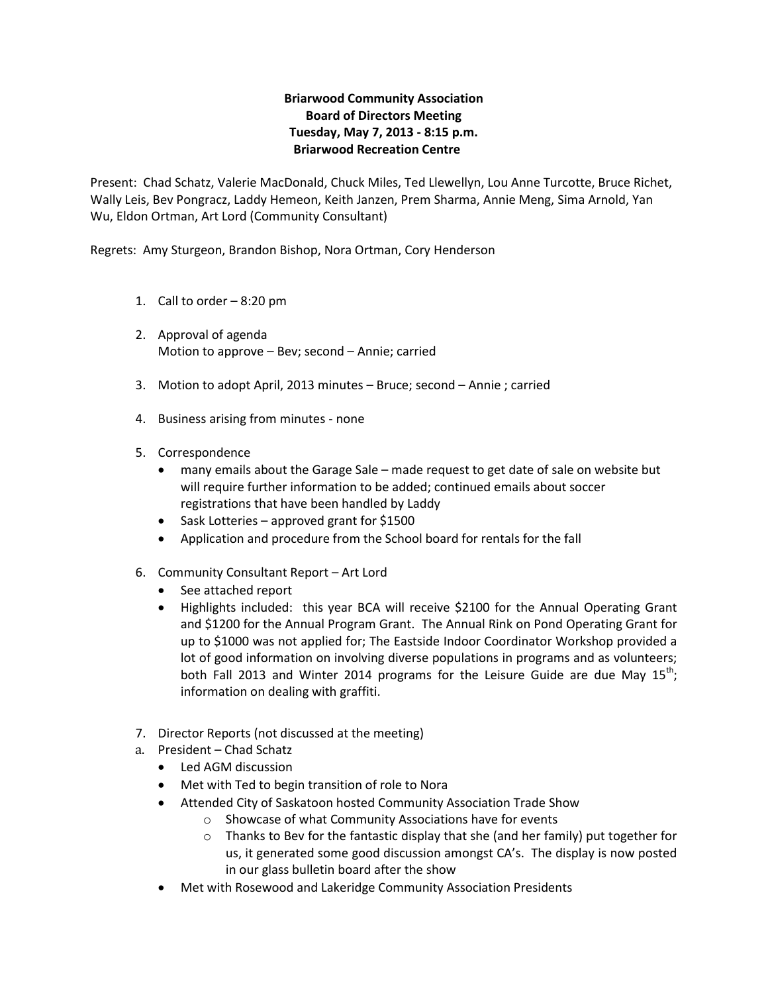# **Briarwood Community Association Board of Directors Meeting Tuesday, May 7, 2013 - 8:15 p.m. Briarwood Recreation Centre**

Present: Chad Schatz, Valerie MacDonald, Chuck Miles, Ted Llewellyn, Lou Anne Turcotte, Bruce Richet, Wally Leis, Bev Pongracz, Laddy Hemeon, Keith Janzen, Prem Sharma, Annie Meng, Sima Arnold, Yan Wu, Eldon Ortman, Art Lord (Community Consultant)

Regrets: Amy Sturgeon, Brandon Bishop, Nora Ortman, Cory Henderson

- 1. Call to order 8:20 pm
- 2. Approval of agenda Motion to approve – Bev; second – Annie; carried
- 3. Motion to adopt April, 2013 minutes Bruce; second Annie ; carried
- 4. Business arising from minutes none
- 5. Correspondence
	- many emails about the Garage Sale made request to get date of sale on website but will require further information to be added; continued emails about soccer registrations that have been handled by Laddy
	- Sask Lotteries approved grant for \$1500
	- Application and procedure from the School board for rentals for the fall
- 6. Community Consultant Report Art Lord
	- See attached report
	- Highlights included: this year BCA will receive \$2100 for the Annual Operating Grant and \$1200 for the Annual Program Grant. The Annual Rink on Pond Operating Grant for up to \$1000 was not applied for; The Eastside Indoor Coordinator Workshop provided a lot of good information on involving diverse populations in programs and as volunteers; both Fall 2013 and Winter 2014 programs for the Leisure Guide are due May  $15^{th}$ ; information on dealing with graffiti.
- 7. Director Reports (not discussed at the meeting)
- a. President Chad Schatz
	- Led AGM discussion
	- Met with Ted to begin transition of role to Nora
	- Attended City of Saskatoon hosted Community Association Trade Show
		- o Showcase of what Community Associations have for events
		- $\circ$  Thanks to Bev for the fantastic display that she (and her family) put together for us, it generated some good discussion amongst CA's. The display is now posted in our glass bulletin board after the show
	- Met with Rosewood and Lakeridge Community Association Presidents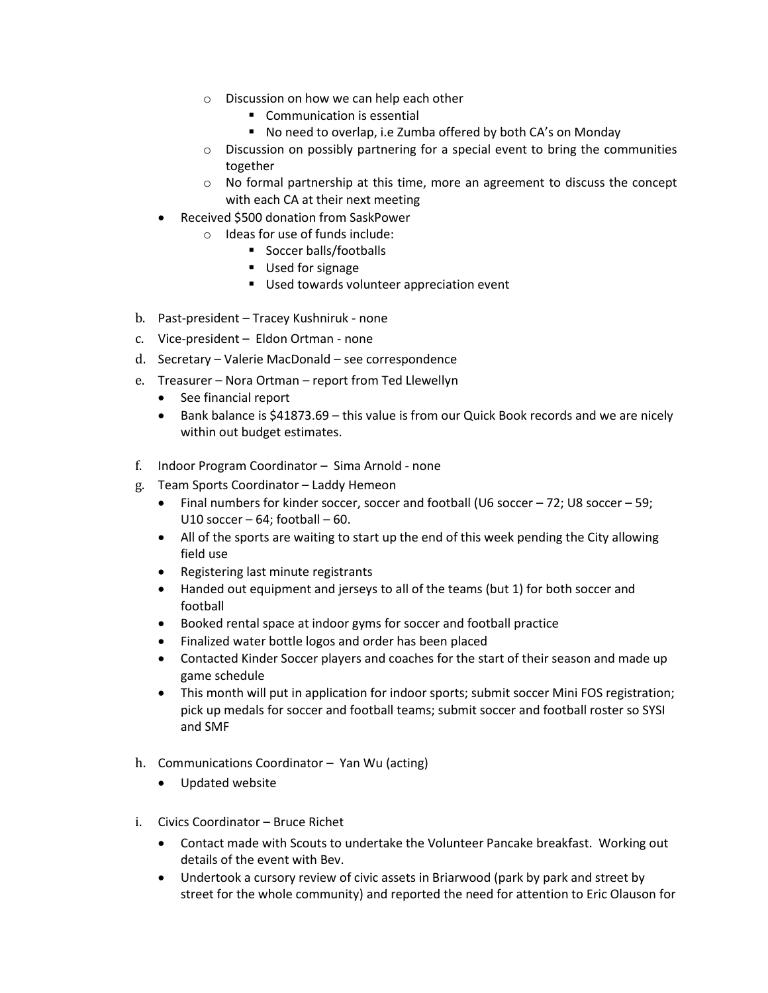- o Discussion on how we can help each other
	- **Communication is essential**
	- No need to overlap, i.e Zumba offered by both CA's on Monday
- o Discussion on possibly partnering for a special event to bring the communities together
- o No formal partnership at this time, more an agreement to discuss the concept with each CA at their next meeting
- Received \$500 donation from SaskPower
	- o Ideas for use of funds include:
		- Soccer balls/footballs
		- **Used for signage**
		- **Used towards volunteer appreciation event**
- b. Past-president Tracey Kushniruk none
- c. Vice-president Eldon Ortman none
- d. Secretary Valerie MacDonald see correspondence
- e. Treasurer Nora Ortman report from Ted Llewellyn
	- See financial report
	- Bank balance is \$41873.69 this value is from our Quick Book records and we are nicely within out budget estimates.
- f. Indoor Program Coordinator Sima Arnold none
- g. Team Sports Coordinator Laddy Hemeon
	- $\bullet$  Final numbers for kinder soccer, soccer and football (U6 soccer 72; U8 soccer 59; U10 soccer  $-64$ : football  $-60$ .
	- All of the sports are waiting to start up the end of this week pending the City allowing field use
	- Registering last minute registrants
	- Handed out equipment and jerseys to all of the teams (but 1) for both soccer and football
	- Booked rental space at indoor gyms for soccer and football practice
	- Finalized water bottle logos and order has been placed
	- Contacted Kinder Soccer players and coaches for the start of their season and made up game schedule
	- This month will put in application for indoor sports; submit soccer Mini FOS registration; pick up medals for soccer and football teams; submit soccer and football roster so SYSI and SMF
- h. Communications Coordinator Yan Wu (acting)
	- Updated website
- i. Civics Coordinator Bruce Richet
	- Contact made with Scouts to undertake the Volunteer Pancake breakfast. Working out details of the event with Bev.
	- Undertook a cursory review of civic assets in Briarwood (park by park and street by street for the whole community) and reported the need for attention to Eric Olauson for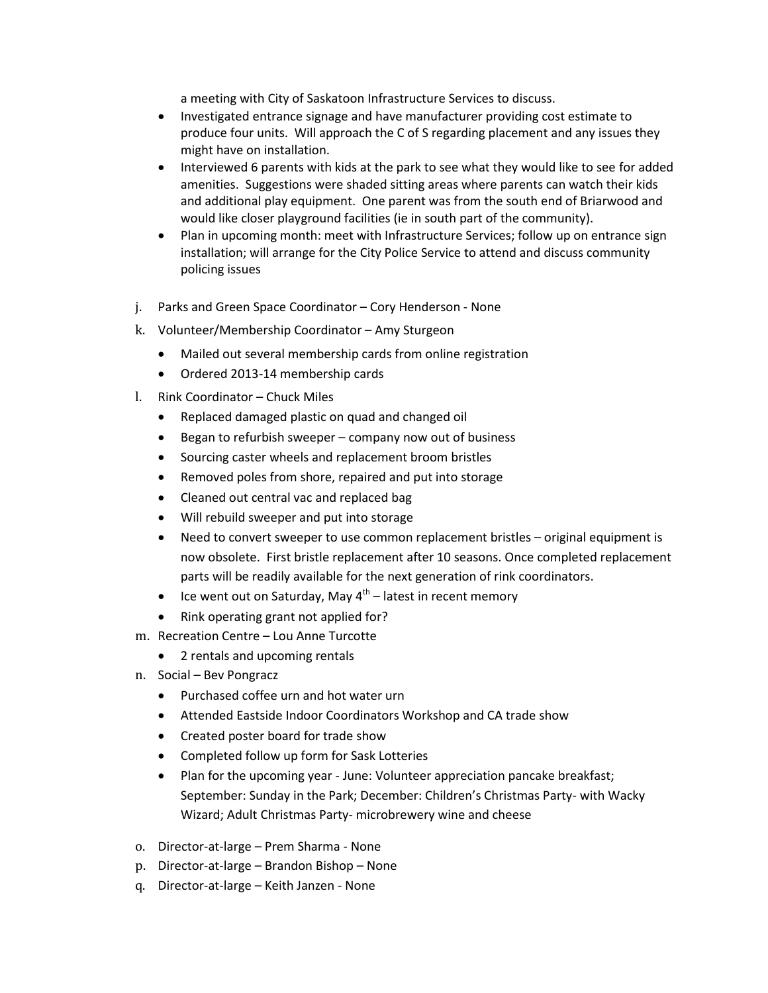a meeting with City of Saskatoon Infrastructure Services to discuss.

- Investigated entrance signage and have manufacturer providing cost estimate to produce four units. Will approach the C of S regarding placement and any issues they might have on installation.
- Interviewed 6 parents with kids at the park to see what they would like to see for added amenities. Suggestions were shaded sitting areas where parents can watch their kids and additional play equipment. One parent was from the south end of Briarwood and would like closer playground facilities (ie in south part of the community).
- Plan in upcoming month: meet with Infrastructure Services; follow up on entrance sign installation; will arrange for the City Police Service to attend and discuss community policing issues
- j. Parks and Green Space Coordinator Cory Henderson None
- k. Volunteer/Membership Coordinator Amy Sturgeon
	- Mailed out several membership cards from online registration
	- Ordered 2013-14 membership cards
- l. Rink Coordinator Chuck Miles
	- Replaced damaged plastic on quad and changed oil
	- $\bullet$  Began to refurbish sweeper company now out of business
	- Sourcing caster wheels and replacement broom bristles
	- Removed poles from shore, repaired and put into storage
	- Cleaned out central vac and replaced bag
	- Will rebuild sweeper and put into storage
	- Need to convert sweeper to use common replacement bristles original equipment is now obsolete. First bristle replacement after 10 seasons. Once completed replacement parts will be readily available for the next generation of rink coordinators.
	- Ice went out on Saturday, May  $4^{\text{th}}$  latest in recent memory
	- Rink operating grant not applied for?
- m. Recreation Centre Lou Anne Turcotte
	- 2 rentals and upcoming rentals
- n. Social Bev Pongracz
	- Purchased coffee urn and hot water urn
	- Attended Eastside Indoor Coordinators Workshop and CA trade show
	- Created poster board for trade show
	- Completed follow up form for Sask Lotteries
	- Plan for the upcoming year June: Volunteer appreciation pancake breakfast; September: Sunday in the Park; December: Children's Christmas Party- with Wacky Wizard; Adult Christmas Party- microbrewery wine and cheese
- o. Director-at-large Prem Sharma None
- p. Director-at-large Brandon Bishop None
- q. Director-at-large Keith Janzen None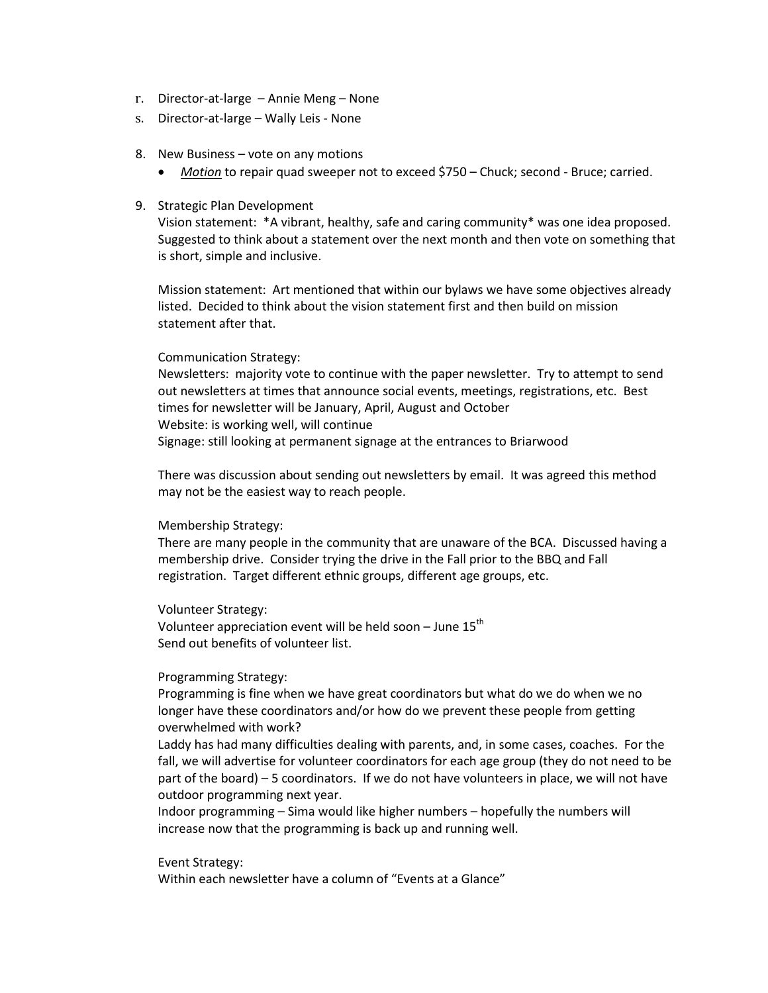- r. Director-at-large Annie Meng None
- s. Director-at-large Wally Leis None
- 8. New Business vote on any motions
	- *Motion* to repair quad sweeper not to exceed \$750 Chuck; second Bruce; carried.
- 9. Strategic Plan Development

Vision statement: \*A vibrant, healthy, safe and caring community\* was one idea proposed. Suggested to think about a statement over the next month and then vote on something that is short, simple and inclusive.

Mission statement: Art mentioned that within our bylaws we have some objectives already listed. Decided to think about the vision statement first and then build on mission statement after that.

## Communication Strategy:

Newsletters: majority vote to continue with the paper newsletter. Try to attempt to send out newsletters at times that announce social events, meetings, registrations, etc. Best times for newsletter will be January, April, August and October Website: is working well, will continue Signage: still looking at permanent signage at the entrances to Briarwood

There was discussion about sending out newsletters by email. It was agreed this method may not be the easiest way to reach people.

### Membership Strategy:

There are many people in the community that are unaware of the BCA. Discussed having a membership drive. Consider trying the drive in the Fall prior to the BBQ and Fall registration. Target different ethnic groups, different age groups, etc.

Volunteer Strategy:

Volunteer appreciation event will be held soon  $-$  June 15<sup>th</sup> Send out benefits of volunteer list.

## Programming Strategy:

Programming is fine when we have great coordinators but what do we do when we no longer have these coordinators and/or how do we prevent these people from getting overwhelmed with work?

Laddy has had many difficulties dealing with parents, and, in some cases, coaches. For the fall, we will advertise for volunteer coordinators for each age group (they do not need to be part of the board) – 5 coordinators. If we do not have volunteers in place, we will not have outdoor programming next year.

Indoor programming – Sima would like higher numbers – hopefully the numbers will increase now that the programming is back up and running well.

### Event Strategy:

Within each newsletter have a column of "Events at a Glance"